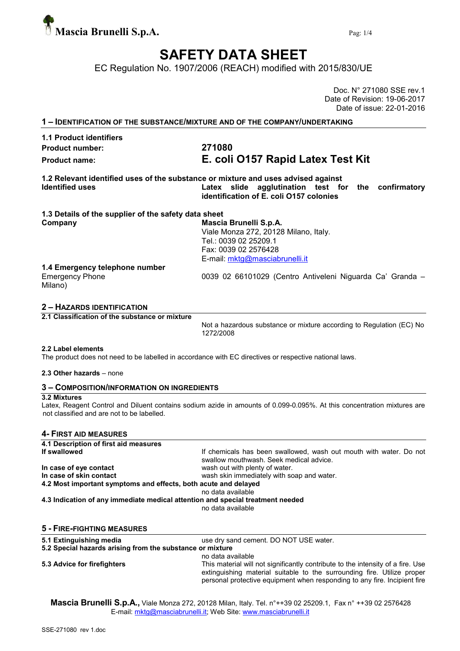

## SAFETY DATA SHEET

EC Regulation No. 1907/2006 (REACH) modified with 2015/830/UE

Doc. N° 271080 SSE rev.1 Date of Revision: 19-06-2017 Date of issue: 22-01-2016

1 – IDENTIFICATION OF THE SUBSTANCE/MIXTURE AND OF THE COMPANY/UNDERTAKING

1.1 Product identifiers Product number: 271080

# Product name: E. coli O157 Rapid Latex Test Kit

1.2 Relevant identified uses of the substance or mixture and uses advised against Identified uses **EXEC 10** Latex slide agglutination test for the confirmatory identification of E. coli O157 colonies

| 1.3 Details of the supplier of the safety data sheet      |
|-----------------------------------------------------------|
| Mascia Brunelli S.p.A.                                    |
| Viale Monza 272, 20128 Milano, Italy.                     |
| Tel.: 0039 02 25209.1                                     |
| Fax: 0039 02 2576428                                      |
| E-mail: mktg@masciabrunelli.it                            |
| 1.4 Emergency telephone number                            |
| 0039 02 66101029 (Centro Antiveleni Niguarda Ca' Granda - |
|                                                           |

#### 2 – HAZARDS IDENTIFICATION

2.1 Classification of the substance or mixture

Not a hazardous substance or mixture according to Regulation (EC) No 1272/2008

#### 2.2 Label elements

The product does not need to be labelled in accordance with EC directives or respective national laws.

#### 2.3 Other hazards – none

### 3 – COMPOSITION/INFORMATION ON INGREDIENTS

#### 3.2 Mixtures

Latex, Reagent Control and Diluent contains sodium azide in amounts of 0.099-0.095%. At this concentration mixtures are not classified and are not to be labelled.

#### 4- FIRST AID MEASURES

| 4.1 Description of first aid measures                           |                                                                                                               |
|-----------------------------------------------------------------|---------------------------------------------------------------------------------------------------------------|
| If swallowed                                                    | If chemicals has been swallowed, wash out mouth with water. Do not<br>swallow mouthwash. Seek medical advice. |
| In case of eye contact                                          | wash out with plenty of water.                                                                                |
| In case of skin contact                                         | wash skin immediately with soap and water.                                                                    |
| 4.2 Most important symptoms and effects, both acute and delayed |                                                                                                               |
|                                                                 | no data available                                                                                             |
|                                                                 | 4.3 Indication of any immediate medical attention and special treatment needed<br>no data available           |
| <b>5 - FIRE-FIGHTING MEASURES</b>                               |                                                                                                               |
| 5.1 Extinguishing media                                         | use dry sand cement. DO NOT USE water.                                                                        |
| 5.2 Special hazards arising from the substance or mixture       |                                                                                                               |
|                                                                 | no data available                                                                                             |

5.3 Advice for firefighters This material will not significantly contribute to the intensity of a fire. Use extinguishing material suitable to the surrounding fire. Utilize proper personal protective equipment when responding to any fire. Incipient fire

Mascia Brunelli S.p.A., Viale Monza 272, 20128 Milan, Italy. Tel. n°++39 02 25209.1, Fax n° ++39 02 2576428 E-mail: mktg@masciabrunelli.it; Web Site: www.masciabrunelli.it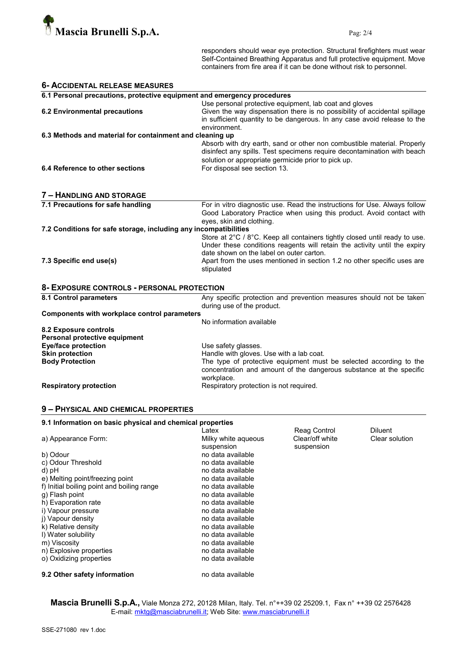

responders should wear eye protection. Structural firefighters must wear Self-Contained Breathing Apparatus and full protective equipment. Move containers from fire area if it can be done without risk to personnel.

| 6.1 Personal precautions, protective equipment and emergency procedures<br>Use personal protective equipment, lab coat and gloves<br><b>6.2 Environmental precautions</b><br>environment.<br>6.3 Methods and material for containment and cleaning up<br>solution or appropriate germicide prior to pick up.<br>6.4 Reference to other sections<br>For disposal see section 13.<br>7 - HANDLING AND STORAGE<br>7.1 Precautions for safe handling<br>eyes, skin and clothing.<br>7.2 Conditions for safe storage, including any incompatibilities | <b>6- ACCIDENTAL RELEASE MEASURES</b> |                                                                                                                                                                                                                                    |  |  |  |
|--------------------------------------------------------------------------------------------------------------------------------------------------------------------------------------------------------------------------------------------------------------------------------------------------------------------------------------------------------------------------------------------------------------------------------------------------------------------------------------------------------------------------------------------------|---------------------------------------|------------------------------------------------------------------------------------------------------------------------------------------------------------------------------------------------------------------------------------|--|--|--|
|                                                                                                                                                                                                                                                                                                                                                                                                                                                                                                                                                  |                                       |                                                                                                                                                                                                                                    |  |  |  |
|                                                                                                                                                                                                                                                                                                                                                                                                                                                                                                                                                  |                                       | Given the way dispensation there is no possibility of accidental spillage<br>in sufficient quantity to be dangerous. In any case avoid release to the                                                                              |  |  |  |
|                                                                                                                                                                                                                                                                                                                                                                                                                                                                                                                                                  |                                       |                                                                                                                                                                                                                                    |  |  |  |
|                                                                                                                                                                                                                                                                                                                                                                                                                                                                                                                                                  |                                       | Absorb with dry earth, sand or other non combustible material. Properly<br>disinfect any spills. Test specimens require decontamination with beach                                                                                 |  |  |  |
|                                                                                                                                                                                                                                                                                                                                                                                                                                                                                                                                                  |                                       |                                                                                                                                                                                                                                    |  |  |  |
|                                                                                                                                                                                                                                                                                                                                                                                                                                                                                                                                                  |                                       | For in vitro diagnostic use. Read the instructions for Use. Always follow<br>Good Laboratory Practice when using this product. Avoid contact with                                                                                  |  |  |  |
|                                                                                                                                                                                                                                                                                                                                                                                                                                                                                                                                                  |                                       |                                                                                                                                                                                                                                    |  |  |  |
| date shown on the label on outer carton.<br>7.3 Specific end use(s)<br>stipulated                                                                                                                                                                                                                                                                                                                                                                                                                                                                |                                       | Store at 2°C / 8°C. Keep all containers tightly closed until ready to use.<br>Under these conditions reagents will retain the activity until the expiry<br>Apart from the uses mentioned in section 1.2 no other specific uses are |  |  |  |
| 8- EXPOSURE CONTROLS - PERSONAL PROTECTION                                                                                                                                                                                                                                                                                                                                                                                                                                                                                                       |                                       |                                                                                                                                                                                                                                    |  |  |  |
| 8.1 Control parameters<br>during use of the product.                                                                                                                                                                                                                                                                                                                                                                                                                                                                                             |                                       | Any specific protection and prevention measures should not be taken                                                                                                                                                                |  |  |  |
| <b>Components with workplace control parameters</b>                                                                                                                                                                                                                                                                                                                                                                                                                                                                                              |                                       |                                                                                                                                                                                                                                    |  |  |  |
| No information available<br>8.2 Exposure controls<br>Personal protective equipment                                                                                                                                                                                                                                                                                                                                                                                                                                                               |                                       |                                                                                                                                                                                                                                    |  |  |  |
| <b>Eye/face protection</b><br>Use safety glasses.                                                                                                                                                                                                                                                                                                                                                                                                                                                                                                |                                       |                                                                                                                                                                                                                                    |  |  |  |
| <b>Skin protection</b><br>Handle with gloves. Use with a lab coat.<br><b>Body Protection</b><br>workplace.                                                                                                                                                                                                                                                                                                                                                                                                                                       |                                       | The type of protective equipment must be selected according to the<br>concentration and amount of the dangerous substance at the specific                                                                                          |  |  |  |
| Respiratory protection is not required.<br><b>Respiratory protection</b>                                                                                                                                                                                                                                                                                                                                                                                                                                                                         |                                       |                                                                                                                                                                                                                                    |  |  |  |

#### 9 – PHYSICAL AND CHEMICAL PROPERTIES

| 9.1 Information on basic physical and chemical properties |                     |                 |                |  |
|-----------------------------------------------------------|---------------------|-----------------|----------------|--|
|                                                           | Latex               | Reag Control    | <b>Diluent</b> |  |
| a) Appearance Form:                                       | Milky white aqueous | Clear/off white | Clear solution |  |
|                                                           | suspension          | suspension      |                |  |
| b) Odour                                                  | no data available   |                 |                |  |
| c) Odour Threshold                                        | no data available   |                 |                |  |
| d) pH                                                     | no data available   |                 |                |  |
| e) Melting point/freezing point                           | no data available   |                 |                |  |
| f) Initial boiling point and boiling range                | no data available   |                 |                |  |
| q) Flash point                                            | no data available   |                 |                |  |
| h) Evaporation rate                                       | no data available   |                 |                |  |
| i) Vapour pressure                                        | no data available   |                 |                |  |
| i) Vapour density                                         | no data available   |                 |                |  |
| k) Relative density                                       | no data available   |                 |                |  |
| I) Water solubility                                       | no data available   |                 |                |  |
| m) Viscosity                                              | no data available   |                 |                |  |
| n) Explosive properties                                   | no data available   |                 |                |  |
| o) Oxidizing properties                                   | no data available   |                 |                |  |
| 9.2 Other safety information                              | no data available   |                 |                |  |

**Mascia Brunelli S.p.A.,** Viale Monza 272, 20128 Milan, Italy. Tel. n°++39 02 25209.1, Fax n° ++39 02 2576428 E-mail: <u>mktg@masciabrunelli.it</u>; Web Site: www.masciabrunelli.it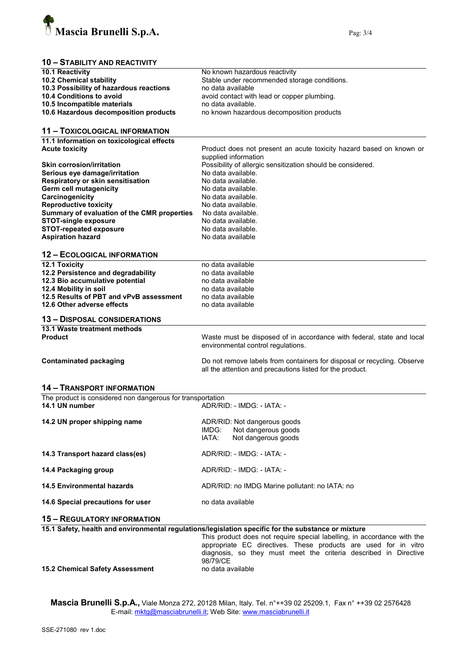

### 10 – STABILITY AND REACTIVITY

| 10.1 Reactivity                                                                                 | No known hazardous reactivity                                                                       |
|-------------------------------------------------------------------------------------------------|-----------------------------------------------------------------------------------------------------|
| 10.2 Chemical stability                                                                         | Stable under recommended storage conditions.                                                        |
| 10.3 Possibility of hazardous reactions                                                         | no data available                                                                                   |
| 10.4 Conditions to avoid                                                                        | avoid contact with lead or copper plumbing.                                                         |
| 10.5 Incompatible materials                                                                     | no data available.                                                                                  |
| 10.6 Hazardous decomposition products                                                           | no known hazardous decomposition products                                                           |
|                                                                                                 |                                                                                                     |
| <b>11 - TOXICOLOGICAL INFORMATION</b>                                                           |                                                                                                     |
| 11.1 Information on toxicological effects                                                       |                                                                                                     |
| <b>Acute toxicity</b>                                                                           | Product does not present an acute toxicity hazard based on known or                                 |
|                                                                                                 | supplied information                                                                                |
| <b>Skin corrosion/irritation</b>                                                                |                                                                                                     |
|                                                                                                 | Possibility of allergic sensitization should be considered.<br>No data available.                   |
| Serious eye damage/irritation                                                                   |                                                                                                     |
| Respiratory or skin sensitisation                                                               | No data available.<br>No data available.                                                            |
| Germ cell mutagenicity                                                                          |                                                                                                     |
| Carcinogenicity                                                                                 | No data available.                                                                                  |
| <b>Reproductive toxicity</b>                                                                    | No data available.                                                                                  |
| Summary of evaluation of the CMR properties                                                     | No data available.                                                                                  |
| <b>STOT-single exposure</b>                                                                     | No data available.                                                                                  |
| <b>STOT-repeated exposure</b>                                                                   | No data available.                                                                                  |
| <b>Aspiration hazard</b>                                                                        | No data available                                                                                   |
|                                                                                                 |                                                                                                     |
| <b>12 - ECOLOGICAL INFORMATION</b>                                                              |                                                                                                     |
| 12.1 Toxicity                                                                                   | no data available                                                                                   |
| 12.2 Persistence and degradability                                                              | no data available                                                                                   |
| 12.3 Bio accumulative potential                                                                 | no data available                                                                                   |
| 12.4 Mobility in soil                                                                           | no data available                                                                                   |
| 12.5 Results of PBT and vPvB assessment                                                         | no data available                                                                                   |
| 12.6 Other adverse effects                                                                      | no data available                                                                                   |
| <b>13 - DISPOSAL CONSIDERATIONS</b>                                                             |                                                                                                     |
| 13.1 Waste treatment methods                                                                    |                                                                                                     |
| <b>Product</b>                                                                                  | Waste must be disposed of in accordance with federal, state and local                               |
|                                                                                                 | environmental control regulations.                                                                  |
|                                                                                                 |                                                                                                     |
| <b>Contaminated packaging</b>                                                                   | Do not remove labels from containers for disposal or recycling. Observe                             |
|                                                                                                 | all the attention and precautions listed for the product.                                           |
|                                                                                                 |                                                                                                     |
| <b>14 - TRANSPORT INFORMATION</b><br>The product is considered non dangerous for transportation |                                                                                                     |
| 14.1 UN number                                                                                  | ADR/RID: - IMDG: - IATA: -                                                                          |
|                                                                                                 |                                                                                                     |
| 14.2 UN proper shipping name                                                                    | ADR/RID: Not dangerous goods                                                                        |
|                                                                                                 | Not dangerous goods<br>IMDG:                                                                        |
|                                                                                                 | IATA:<br>Not dangerous goods                                                                        |
|                                                                                                 |                                                                                                     |
| 14.3 Transport hazard class(es)                                                                 | ADR/RID: - IMDG: - IATA: -                                                                          |
|                                                                                                 | ADR/RID: - IMDG: - IATA: -                                                                          |
| 14.4 Packaging group                                                                            |                                                                                                     |
| <b>14.5 Environmental hazards</b>                                                               | ADR/RID: no IMDG Marine pollutant: no IATA: no                                                      |
|                                                                                                 |                                                                                                     |
| 14.6 Special precautions for user                                                               | no data available                                                                                   |
| <b>15 - REGULATORY INFORMATION</b>                                                              |                                                                                                     |
|                                                                                                 | 15.1 Safety, health and environmental regulations/legislation specific for the substance or mixture |
|                                                                                                 | This product does not require special labelling, in accordance with the                             |
|                                                                                                 | appropriate EC directives. These products are used for in vitro                                     |
|                                                                                                 | diagnosis, so they must meet the criteria described in Directive                                    |
|                                                                                                 | 98/79/CE                                                                                            |
| <b>15.2 Chemical Safety Assessment</b>                                                          | no data available                                                                                   |

15.2 Chemical Safety Assessment

**Mascia Brunelli S.p.A.,** Viale Monza 272, 20128 Milan, Italy. Tel. n°++39 02 25209.1, Fax n° ++39 02 2576428 E-mail: <u>mktg@masciabrunelli.it</u>; Web Site: www.masciabrunelli.it